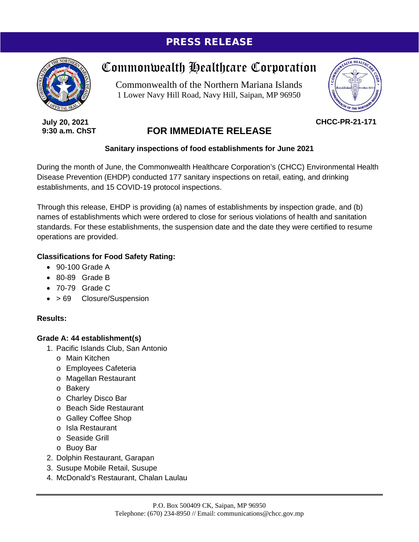# PRESS RELEASE



Commonwealth Healthcare Corporation

Commonwealth of the Northern Mariana Islands 1 Lower Navy Hill Road, Navy Hill, Saipan, MP 96950



**CHCC-PR-21-171**

**July 20, 2021 9:30 a.m. ChST**

# **FOR IMMEDIATE RELEASE**

### **Sanitary inspections of food establishments for June 2021**

During the month of June, the Commonwealth Healthcare Corporation's (CHCC) Environmental Health Disease Prevention (EHDP) conducted 177 sanitary inspections on retail, eating, and drinking establishments, and 15 COVID-19 protocol inspections.

Through this release, EHDP is providing (a) names of establishments by inspection grade, and (b) names of establishments which were ordered to close for serious violations of health and sanitation standards. For these establishments, the suspension date and the date they were certified to resume operations are provided.

### **Classifications for Food Safety Rating:**

- 90-100 Grade A
- 80-89 Grade B
- 70-79 Grade C
- > 69 Closure/Suspension

#### **Results:**

#### **Grade A: 44 establishment(s)**

- 1. Pacific Islands Club, San Antonio
	- o Main Kitchen
	- o Employees Cafeteria
	- o Magellan Restaurant
	- o Bakery
	- o Charley Disco Bar
	- o Beach Side Restaurant
	- o Galley Coffee Shop
	- o Isla Restaurant
	- o Seaside Grill
	- o Buoy Bar
- 2. Dolphin Restaurant, Garapan
- 3. Susupe Mobile Retail, Susupe
- 4. McDonald's Restaurant, Chalan Laulau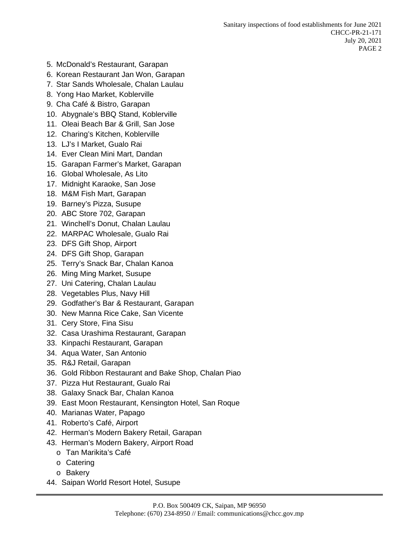- 5. McDonald's Restaurant, Garapan
- 6. Korean Restaurant Jan Won, Garapan
- 7. Star Sands Wholesale, Chalan Laulau
- 8. Yong Hao Market, Koblerville
- 9. Cha Café & Bistro, Garapan
- 10. Abygnale's BBQ Stand, Koblerville
- 11. Oleai Beach Bar & Grill, San Jose
- 12. Charing's Kitchen, Koblerville
- 13. LJ's I Market, Gualo Rai
- 14. Ever Clean Mini Mart, Dandan
- 15. Garapan Farmer's Market, Garapan
- 16. Global Wholesale, As Lito
- 17. Midnight Karaoke, San Jose
- 18. M&M Fish Mart, Garapan
- 19. Barney's Pizza, Susupe
- 20. ABC Store 702, Garapan
- 21. Winchell's Donut, Chalan Laulau
- 22. MARPAC Wholesale, Gualo Rai
- 23. DFS Gift Shop, Airport
- 24. DFS Gift Shop, Garapan
- 25. Terry's Snack Bar, Chalan Kanoa
- 26. Ming Ming Market, Susupe
- 27. Uni Catering, Chalan Laulau
- 28. Vegetables Plus, Navy Hill
- 29. Godfather's Bar & Restaurant, Garapan
- 30. New Manna Rice Cake, San Vicente
- 31. Cery Store, Fina Sisu
- 32. Casa Urashima Restaurant, Garapan
- 33. Kinpachi Restaurant, Garapan
- 34. Aqua Water, San Antonio
- 35. R&J Retail, Garapan
- 36. Gold Ribbon Restaurant and Bake Shop, Chalan Piao
- 37. Pizza Hut Restaurant, Gualo Rai
- 38. Galaxy Snack Bar, Chalan Kanoa
- 39. East Moon Restaurant, Kensington Hotel, San Roque
- 40. Marianas Water, Papago
- 41. Roberto's Café, Airport
- 42. Herman's Modern Bakery Retail, Garapan
- 43. Herman's Modern Bakery, Airport Road
	- o Tan Marikita's Café
	- o Catering
	- o Bakery
- 44. Saipan World Resort Hotel, Susupe